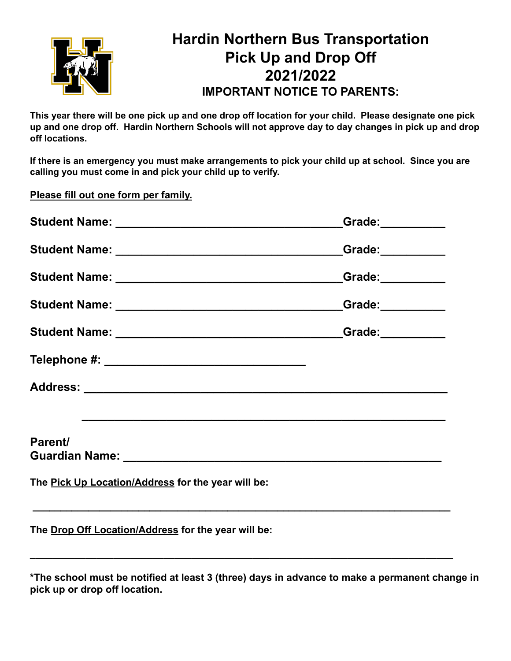

# **Hardin Northern Bus Transportation Pick Up and Drop Off 2021/2022 IMPORTANT NOTICE TO PARENTS:**

This year there will be one pick up and one drop off location for your child. Please designate one pick up and one drop off. Hardin Northern Schools will not approve day to day changes in pick up and drop **off locations.**

If there is an emergency you must make arrangements to pick your child up at school. Since you are **calling you must come in and pick your child up to verify.**

**Please fill out one form per family.**

| Student Name: ___________________________________Grade:___________ |  |
|--------------------------------------------------------------------|--|
|                                                                    |  |
|                                                                    |  |
| Student Name: ___________________________________Grade: __________ |  |
|                                                                    |  |
|                                                                    |  |
|                                                                    |  |
| Parent/                                                            |  |
| The Pick Up Location/Address for the year will be:                 |  |
| The Drop Off Location/Address for the year will be:                |  |

**\*The school must be notified at least 3 (three) days in advance to make a permanent change in pick up or drop off location.**

**\_\_\_\_\_\_\_\_\_\_\_\_\_\_\_\_\_\_\_\_\_\_\_\_\_\_\_\_\_\_\_\_\_\_\_\_\_\_\_\_\_\_\_\_\_\_\_\_\_\_\_\_\_\_\_\_\_\_\_\_\_\_\_\_\_\_\_\_\_\_\_\_\_\_\_\_**